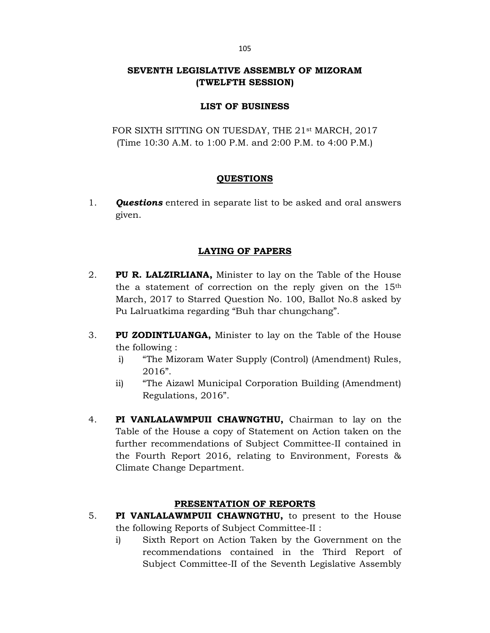# SEVENTH LEGISLATIVE ASSEMBLY OF MIZORAM (TWELFTH SESSION)

### LIST OF BUSINESS

FOR SIXTH SITTING ON TUESDAY, THE 21<sup>st</sup> MARCH, 2017 (Time 10:30 A.M. to 1:00 P.M. and 2:00 P.M. to 4:00 P.M.)

# QUESTIONS

1. **Ouestions** entered in separate list to be asked and oral answers given.

# LAYING OF PAPERS

- 2. PU R. LALZIRLIANA, Minister to lay on the Table of the House the a statement of correction on the reply given on the  $15<sup>th</sup>$  March, 2017 to Starred Question No. 100, Ballot No.8 asked by Pu Lalruatkima regarding "Buh thar chungchang".
- 3. PU ZODINTLUANGA, Minister to lay on the Table of the House the following :
	- i) "The Mizoram Water Supply (Control) (Amendment) Rules, 2016".
	- ii) "The Aizawl Municipal Corporation Building (Amendment) Regulations, 2016".
- 4. PI VANLALAWMPUII CHAWNGTHU, Chairman to lay on the Table of the House a copy of Statement on Action taken on the further recommendations of Subject Committee-II contained in the Fourth Report 2016, relating to Environment, Forests & Climate Change Department.

# PRESENTATION OF REPORTS

- 5. PI VANLALAWMPUII CHAWNGTHU, to present to the House the following Reports of Subject Committee-II :
	- i) Sixth Report on Action Taken by the Government on the recommendations contained in the Third Report of Subject Committee-II of the Seventh Legislative Assembly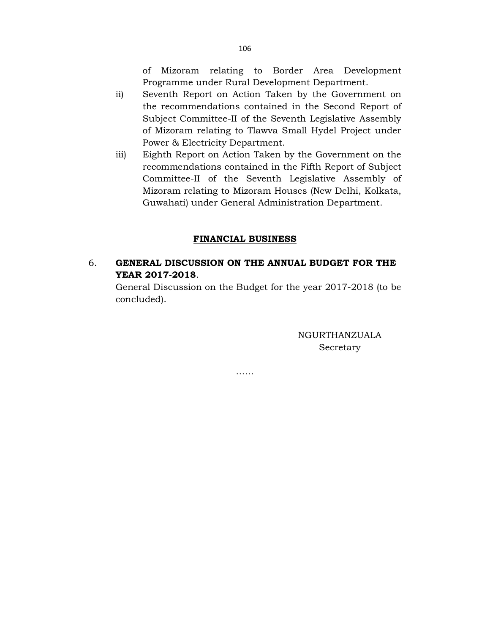of Mizoram relating to Border Area Development Programme under Rural Development Department.

- ii) Seventh Report on Action Taken by the Government on the recommendations contained in the Second Report of Subject Committee-II of the Seventh Legislative Assembly of Mizoram relating to Tlawva Small Hydel Project under Power & Electricity Department.
- iii) Eighth Report on Action Taken by the Government on the recommendations contained in the Fifth Report of Subject Committee-II of the Seventh Legislative Assembly of Mizoram relating to Mizoram Houses (New Delhi, Kolkata, Guwahati) under General Administration Department.

### FINANCIAL BUSINESS

# 6. GENERAL DISCUSSION ON THE ANNUAL BUDGET FOR THE YEAR 2017-2018.

……

 General Discussion on the Budget for the year 2017-2018 (to be concluded).

> NGURTHANZUALA Secretary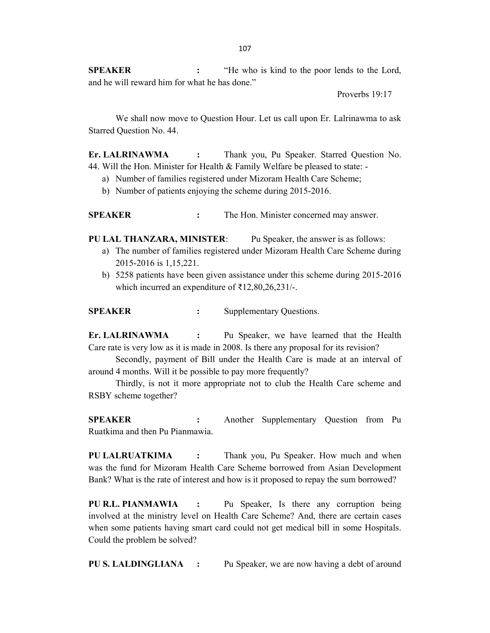SPEAKER : "He who is kind to the poor lends to the Lord, and he will reward him for what he has done."

Proverbs 19:17

 We shall now move to Question Hour. Let us call upon Er. Lalrinawma to ask Starred Question No. 44.

Er. LALRINAWMA : Thank you, Pu Speaker. Starred Question No. 44. Will the Hon. Minister for Health & Family Welfare be pleased to state: -

- a) Number of families registered under Mizoram Health Care Scheme;
- b) Number of patients enjoying the scheme during 2015-2016.

SPEAKER : The Hon. Minister concerned may answer.

PU LAL THANZARA, MINISTER: Pu Speaker, the answer is as follows:

- a) The number of families registered under Mizoram Health Care Scheme during 2015-2016 is 1,15,221.
- b) 5258 patients have been given assistance under this scheme during 2015-2016 which incurred an expenditure of ₹12,80,26,231/-.

SPEAKER : Supplementary Questions.

Er. LALRINAWMA : Pu Speaker, we have learned that the Health Care rate is very low as it is made in 2008. Is there any proposal for its revision?

 Secondly, payment of Bill under the Health Care is made at an interval of around 4 months. Will it be possible to pay more frequently?

 Thirdly, is not it more appropriate not to club the Health Care scheme and RSBY scheme together?

SPEAKER : Another Supplementary Question from Pu Ruatkima and then Pu Pianmawia.

PU LALRUATKIMA : Thank you, Pu Speaker. How much and when was the fund for Mizoram Health Care Scheme borrowed from Asian Development Bank? What is the rate of interest and how is it proposed to repay the sum borrowed?

PU R.L. PIANMAWIA : Pu Speaker, Is there any corruption being involved at the ministry level on Health Care Scheme? And, there are certain cases when some patients having smart card could not get medical bill in some Hospitals. Could the problem be solved?

PU S. LALDINGLIANA : Pu Speaker, we are now having a debt of around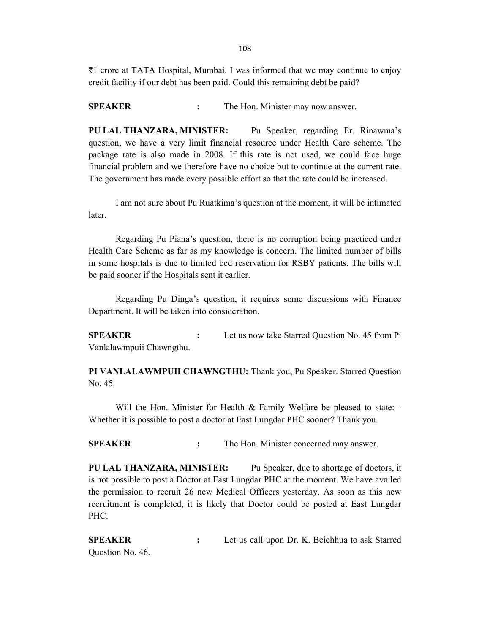₹1 crore at TATA Hospital, Mumbai. I was informed that we may continue to enjoy credit facility if our debt has been paid. Could this remaining debt be paid?

SPEAKER : The Hon. Minister may now answer.

PU LAL THANZARA, MINISTER: Pu Speaker, regarding Er. Rinawma's question, we have a very limit financial resource under Health Care scheme. The package rate is also made in 2008. If this rate is not used, we could face huge financial problem and we therefore have no choice but to continue at the current rate. The government has made every possible effort so that the rate could be increased.

 I am not sure about Pu Ruatkima's question at the moment, it will be intimated later.

 Regarding Pu Piana's question, there is no corruption being practiced under Health Care Scheme as far as my knowledge is concern. The limited number of bills in some hospitals is due to limited bed reservation for RSBY patients. The bills will be paid sooner if the Hospitals sent it earlier.

 Regarding Pu Dinga's question, it requires some discussions with Finance Department. It will be taken into consideration.

SPEAKER : Let us now take Starred Question No. 45 from Pi Vanlalawmpuii Chawngthu.

PI VANLALAWMPUII CHAWNGTHU: Thank you, Pu Speaker. Starred Question No. 45.

Will the Hon. Minister for Health & Family Welfare be pleased to state: -Whether it is possible to post a doctor at East Lungdar PHC sooner? Thank you.

SPEAKER : The Hon. Minister concerned may answer.

PU LAL THANZARA, MINISTER: Pu Speaker, due to shortage of doctors, it is not possible to post a Doctor at East Lungdar PHC at the moment. We have availed the permission to recruit 26 new Medical Officers yesterday. As soon as this new recruitment is completed, it is likely that Doctor could be posted at East Lungdar PHC.

SPEAKER : Let us call upon Dr. K. Beichhua to ask Starred Question No. 46.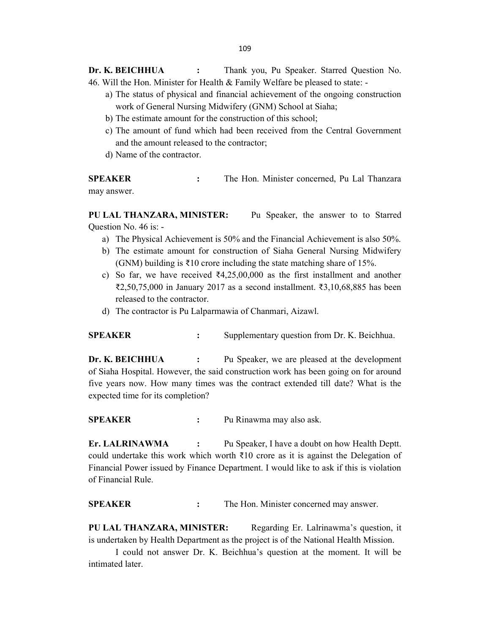Dr. K. BEICHHUA : Thank you, Pu Speaker. Starred Question No. 46. Will the Hon. Minister for Health & Family Welfare be pleased to state: -

- a) The status of physical and financial achievement of the ongoing construction work of General Nursing Midwifery (GNM) School at Siaha;
- b) The estimate amount for the construction of this school;
- c) The amount of fund which had been received from the Central Government and the amount released to the contractor;
- d) Name of the contractor.

SPEAKER : The Hon. Minister concerned, Pu Lal Thanzara may answer.

PU LAL THANZARA, MINISTER: Pu Speaker, the answer to to Starred Question No. 46 is: -

- a) The Physical Achievement is 50% and the Financial Achievement is also 50%.
- b) The estimate amount for construction of Siaha General Nursing Midwifery (GNM) building is ₹10 crore including the state matching share of 15%.
- c) So far, we have received  $\text{₹}4,25,00,000$  as the first installment and another ₹2,50,75,000 in January 2017 as a second installment. ₹3,10,68,885 has been released to the contractor.
- d) The contractor is Pu Lalparmawia of Chanmari, Aizawl.

SPEAKER : Supplementary question from Dr. K. Beichhua.

Dr. K. BEICHHUA : Pu Speaker, we are pleased at the development of Siaha Hospital. However, the said construction work has been going on for around five years now. How many times was the contract extended till date? What is the expected time for its completion?

SPEAKER : Pu Rinawma may also ask.

Er. LALRINAWMA : Pu Speaker, I have a doubt on how Health Deptt. could undertake this work which worth  $\bar{\tau}10$  crore as it is against the Delegation of Financial Power issued by Finance Department. I would like to ask if this is violation of Financial Rule.

SPEAKER : The Hon. Minister concerned may answer.

PU LAL THANZARA, MINISTER: Regarding Er. Lalrinawma's question, it is undertaken by Health Department as the project is of the National Health Mission.

 I could not answer Dr. K. Beichhua's question at the moment. It will be intimated later.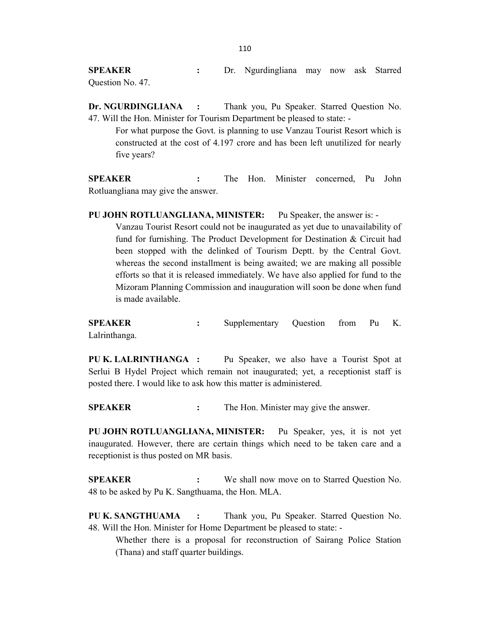SPEAKER : Dr. Ngurdingliana may now ask Starred Question No. 47.

Dr. NGURDINGLIANA : Thank you, Pu Speaker. Starred Question No. 47. Will the Hon. Minister for Tourism Department be pleased to state: -

 For what purpose the Govt. is planning to use Vanzau Tourist Resort which is constructed at the cost of 4.197 crore and has been left unutilized for nearly five years?

SPEAKER : The Hon. Minister concerned, Pu John Rotluangliana may give the answer.

PU JOHN ROTLUANGLIANA, MINISTER: Pu Speaker, the answer is: - Vanzau Tourist Resort could not be inaugurated as yet due to unavailability of fund for furnishing. The Product Development for Destination & Circuit had been stopped with the delinked of Tourism Deptt. by the Central Govt. whereas the second installment is being awaited; we are making all possible efforts so that it is released immediately. We have also applied for fund to the Mizoram Planning Commission and inauguration will soon be done when fund is made available.

SPEAKER : Supplementary Question from Pu K. Lalrinthanga.

PU K. LALRINTHANGA : Pu Speaker, we also have a Tourist Spot at Serlui B Hydel Project which remain not inaugurated; yet, a receptionist staff is posted there. I would like to ask how this matter is administered.

SPEAKER : The Hon. Minister may give the answer.

PU JOHN ROTLUANGLIANA, MINISTER: Pu Speaker, yes, it is not yet inaugurated. However, there are certain things which need to be taken care and a receptionist is thus posted on MR basis.

SPEAKER : We shall now move on to Starred Question No. 48 to be asked by Pu K. Sangthuama, the Hon. MLA.

PU K. SANGTHUAMA : Thank you, Pu Speaker. Starred Question No. 48. Will the Hon. Minister for Home Department be pleased to state: -

 Whether there is a proposal for reconstruction of Sairang Police Station (Thana) and staff quarter buildings.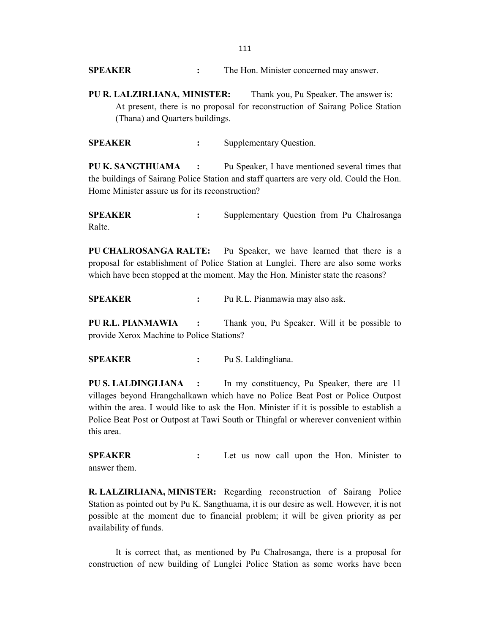SPEAKER : The Hon. Minister concerned may answer.

PU R. LALZIRLIANA, MINISTER: Thank you, Pu Speaker. The answer is: At present, there is no proposal for reconstruction of Sairang Police Station (Thana) and Quarters buildings.

SPEAKER : Supplementary Question.

PU K. SANGTHUAMA : Pu Speaker, I have mentioned several times that the buildings of Sairang Police Station and staff quarters are very old. Could the Hon. Home Minister assure us for its reconstruction?

SPEAKER : Supplementary Question from Pu Chalrosanga Ralte.

PU CHALROSANGA RALTE: Pu Speaker, we have learned that there is a proposal for establishment of Police Station at Lunglei. There are also some works which have been stopped at the moment. May the Hon. Minister state the reasons?

SPEAKER : Pu R.L. Pianmawia may also ask.

PU R.L. PIANMAWIA : Thank you, Pu Speaker. Will it be possible to provide Xerox Machine to Police Stations?

SPEAKER : Pu S. Laldingliana.

PU S. LALDINGLIANA : In my constituency, Pu Speaker, there are 11 villages beyond Hrangchalkawn which have no Police Beat Post or Police Outpost within the area. I would like to ask the Hon. Minister if it is possible to establish a Police Beat Post or Outpost at Tawi South or Thingfal or wherever convenient within this area.

SPEAKER : Let us now call upon the Hon. Minister to answer them.

R. LALZIRLIANA, MINISTER: Regarding reconstruction of Sairang Police Station as pointed out by Pu K. Sangthuama, it is our desire as well. However, it is not possible at the moment due to financial problem; it will be given priority as per availability of funds.

 It is correct that, as mentioned by Pu Chalrosanga, there is a proposal for construction of new building of Lunglei Police Station as some works have been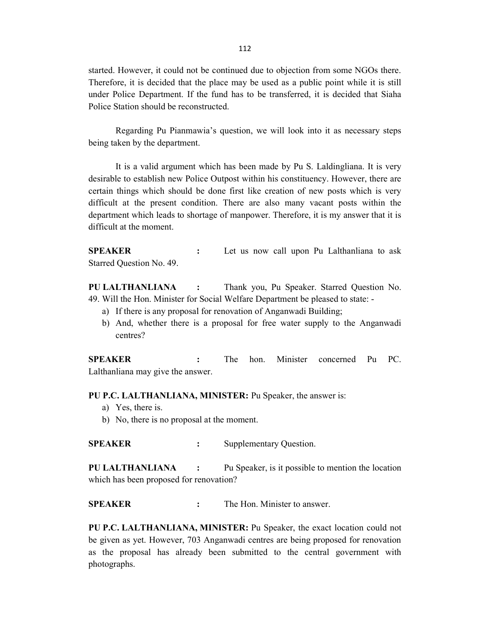started. However, it could not be continued due to objection from some NGOs there. Therefore, it is decided that the place may be used as a public point while it is still under Police Department. If the fund has to be transferred, it is decided that Siaha Police Station should be reconstructed.

 Regarding Pu Pianmawia's question, we will look into it as necessary steps being taken by the department.

 It is a valid argument which has been made by Pu S. Laldingliana. It is very desirable to establish new Police Outpost within his constituency. However, there are certain things which should be done first like creation of new posts which is very difficult at the present condition. There are also many vacant posts within the department which leads to shortage of manpower. Therefore, it is my answer that it is difficult at the moment.

**SPEAKER** : Let us now call upon Pu Lalthanliana to ask Starred Question No. 49.

PU LALTHANLIANA : Thank you, Pu Speaker. Starred Question No. 49. Will the Hon. Minister for Social Welfare Department be pleased to state: -

- a) If there is any proposal for renovation of Anganwadi Building;
- b) And, whether there is a proposal for free water supply to the Anganwadi centres?

SPEAKER : The hon. Minister concerned Pu PC. Lalthanliana may give the answer.

PU P.C. LALTHANLIANA, MINISTER: Pu Speaker, the answer is:

- a) Yes, there is.
- b) No, there is no proposal at the moment.

SPEAKER : Supplementary Question.

PU LALTHANLIANA : Pu Speaker, is it possible to mention the location which has been proposed for renovation?

SPEAKER : The Hon. Minister to answer.

PU P.C. LALTHANLIANA, MINISTER: Pu Speaker, the exact location could not be given as yet. However, 703 Anganwadi centres are being proposed for renovation as the proposal has already been submitted to the central government with photographs.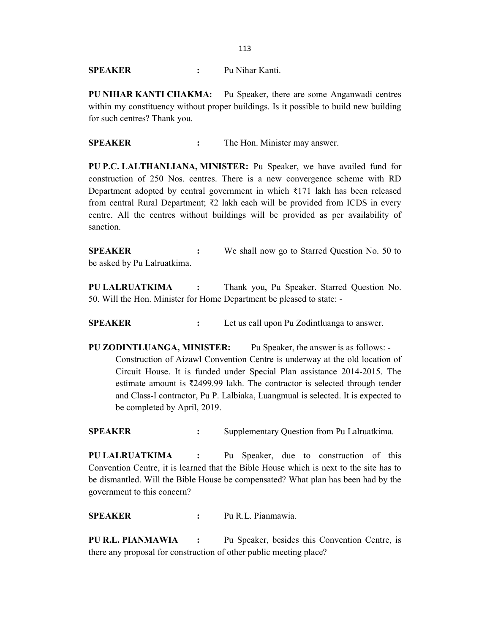SPEAKER : Pu Nihar Kanti.

PU NIHAR KANTI CHAKMA: Pu Speaker, there are some Anganwadi centres within my constituency without proper buildings. Is it possible to build new building for such centres? Thank you.

SPEAKER : The Hon. Minister may answer.

PU P.C. LALTHANLIANA, MINISTER: Pu Speaker, we have availed fund for construction of 250 Nos. centres. There is a new convergence scheme with RD Department adopted by central government in which ₹171 lakh has been released from central Rural Department;  $\overline{\xi}2$  lakh each will be provided from ICDS in every centre. All the centres without buildings will be provided as per availability of sanction.

**SPEAKER** : We shall now go to Starred Question No. 50 to be asked by Pu Lalruatkima.

PU LALRUATKIMA : Thank you, Pu Speaker. Starred Question No. 50. Will the Hon. Minister for Home Department be pleased to state: -

SPEAKER : Let us call upon Pu Zodintluanga to answer.

PU ZODINTLUANGA, MINISTER: Pu Speaker, the answer is as follows: - Construction of Aizawl Convention Centre is underway at the old location of Circuit House. It is funded under Special Plan assistance 2014-2015. The estimate amount is ₹2499.99 lakh. The contractor is selected through tender and Class-I contractor, Pu P. Lalbiaka, Luangmual is selected. It is expected to be completed by April, 2019.

SPEAKER : Supplementary Question from Pu Lalruatkima.

PU LALRUATKIMA : Pu Speaker, due to construction of this Convention Centre, it is learned that the Bible House which is next to the site has to be dismantled. Will the Bible House be compensated? What plan has been had by the government to this concern?

SPEAKER : Pu R.L. Pianmawia.

PU R.L. PIANMAWIA : Pu Speaker, besides this Convention Centre, is there any proposal for construction of other public meeting place?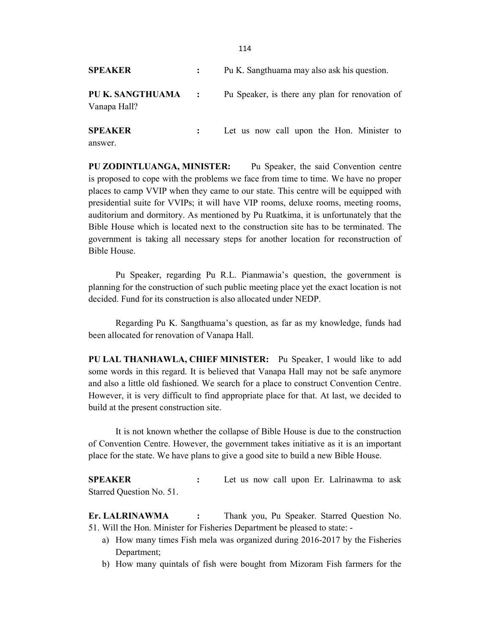| <b>SPEAKER</b>                     | Pu K. Sangthuama may also ask his question.     |
|------------------------------------|-------------------------------------------------|
| PU K. SANGTHUAMA :<br>Vanapa Hall? | Pu Speaker, is there any plan for renovation of |
| <b>SPEAKER</b><br>answer           | Let us now call upon the Hon. Minister to       |

PU ZODINTLUANGA, MINISTER: Pu Speaker, the said Convention centre is proposed to cope with the problems we face from time to time. We have no proper places to camp VVIP when they came to our state. This centre will be equipped with presidential suite for VVIPs; it will have VIP rooms, deluxe rooms, meeting rooms, auditorium and dormitory. As mentioned by Pu Ruatkima, it is unfortunately that the Bible House which is located next to the construction site has to be terminated. The government is taking all necessary steps for another location for reconstruction of Bible House.

 Pu Speaker, regarding Pu R.L. Pianmawia's question, the government is planning for the construction of such public meeting place yet the exact location is not decided. Fund for its construction is also allocated under NEDP.

 Regarding Pu K. Sangthuama's question, as far as my knowledge, funds had been allocated for renovation of Vanapa Hall.

PU LAL THANHAWLA, CHIEF MINISTER: Pu Speaker, I would like to add some words in this regard. It is believed that Vanapa Hall may not be safe anymore and also a little old fashioned. We search for a place to construct Convention Centre. However, it is very difficult to find appropriate place for that. At last, we decided to build at the present construction site.

 It is not known whether the collapse of Bible House is due to the construction of Convention Centre. However, the government takes initiative as it is an important place for the state. We have plans to give a good site to build a new Bible House.

SPEAKER : Let us now call upon Er. Lalrinawma to ask Starred Question No. 51.

Er. LALRINAWMA : Thank you, Pu Speaker. Starred Question No. 51. Will the Hon. Minister for Fisheries Department be pleased to state: -

- a) How many times Fish mela was organized during 2016-2017 by the Fisheries Department;
- b) How many quintals of fish were bought from Mizoram Fish farmers for the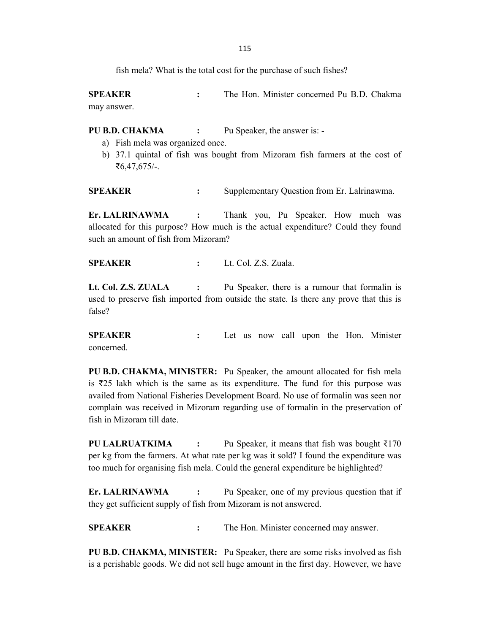fish mela? What is the total cost for the purchase of such fishes?

SPEAKER : The Hon. Minister concerned Pu B.D. Chakma may answer.

PU B.D. CHAKMA : Pu Speaker, the answer is: -

- a) Fish mela was organized once.
- b) 37.1 quintal of fish was bought from Mizoram fish farmers at the cost of ₹6,47,675/-.

SPEAKER : Supplementary Question from Er. Lalrinawma.

Er. LALRINAWMA : Thank you, Pu Speaker. How much was allocated for this purpose? How much is the actual expenditure? Could they found such an amount of fish from Mizoram?

SPEAKER : Lt. Col. Z.S. Zuala.

Lt. Col. Z.S. ZUALA : Pu Speaker, there is a rumour that formalin is used to preserve fish imported from outside the state. Is there any prove that this is false?

SPEAKER : Let us now call upon the Hon. Minister concerned.

PU B.D. CHAKMA, MINISTER: Pu Speaker, the amount allocated for fish mela is ₹25 lakh which is the same as its expenditure. The fund for this purpose was availed from National Fisheries Development Board. No use of formalin was seen nor complain was received in Mizoram regarding use of formalin in the preservation of fish in Mizoram till date.

PU LALRUATKIMA : Pu Speaker, it means that fish was bought ₹170 per kg from the farmers. At what rate per kg was it sold? I found the expenditure was too much for organising fish mela. Could the general expenditure be highlighted?

Er. LALRINAWMA : Pu Speaker, one of my previous question that if they get sufficient supply of fish from Mizoram is not answered.

SPEAKER : The Hon. Minister concerned may answer.

PU B.D. CHAKMA, MINISTER: Pu Speaker, there are some risks involved as fish is a perishable goods. We did not sell huge amount in the first day. However, we have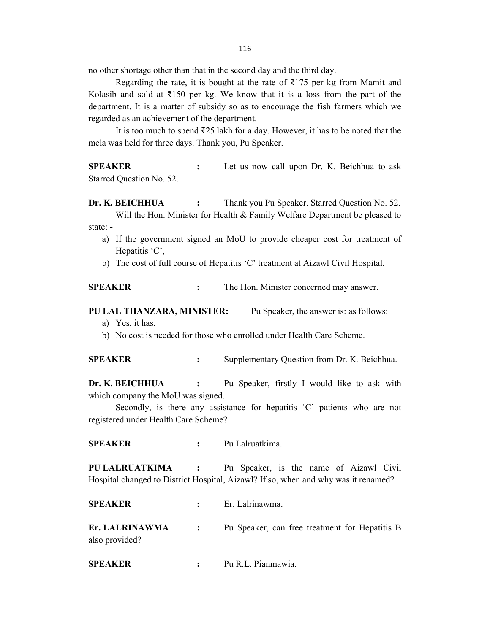116

no other shortage other than that in the second day and the third day.

Regarding the rate, it is bought at the rate of ₹175 per kg from Mamit and Kolasib and sold at  $\overline{5150}$  per kg. We know that it is a loss from the part of the department. It is a matter of subsidy so as to encourage the fish farmers which we regarded as an achievement of the department.

 It is too much to spend ₹25 lakh for a day. However, it has to be noted that the mela was held for three days. Thank you, Pu Speaker.

SPEAKER : Let us now call upon Dr. K. Beichhua to ask Starred Question No. 52.

Dr. K. BEICHHUA : Thank you Pu Speaker. Starred Question No. 52. Will the Hon. Minister for Health & Family Welfare Department be pleased to state: -

- a) If the government signed an MoU to provide cheaper cost for treatment of Hepatitis 'C',
- b) The cost of full course of Hepatitis 'C' treatment at Aizawl Civil Hospital.

### SPEAKER : The Hon. Minister concerned may answer.

### PU LAL THANZARA, MINISTER: Pu Speaker, the answer is: as follows:

a) Yes, it has.

b) No cost is needed for those who enrolled under Health Care Scheme.

SPEAKER : Supplementary Question from Dr. K. Beichhua.

Dr. K. BEICHHUA : Pu Speaker, firstly I would like to ask with which company the MoU was signed.

Secondly, is there any assistance for hepatitis 'C' patients who are not registered under Health Care Scheme?

SPEAKER : Pu Lalruatkima.

PU LALRUATKIMA : Pu Speaker, is the name of Aizawl Civil Hospital changed to District Hospital, Aizawl? If so, when and why was it renamed?

SPEAKER : Er. Lalrinawma.

Er. LALRINAWMA : Pu Speaker, can free treatment for Hepatitis B also provided?

SPEAKER : Pu R.L. Pianmawia.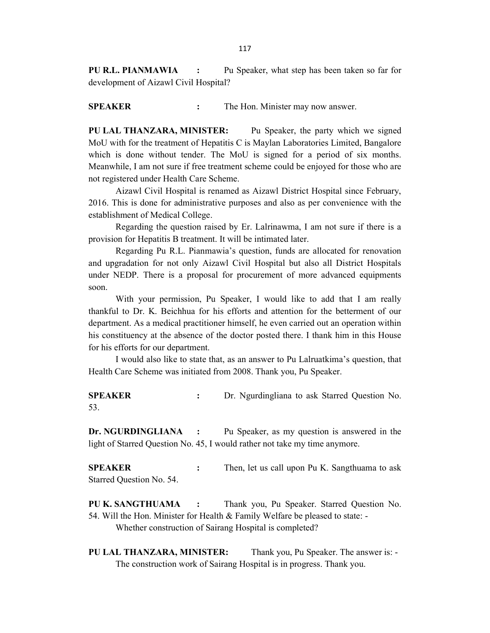PU R.L. PIANMAWIA : Pu Speaker, what step has been taken so far for development of Aizawl Civil Hospital?

SPEAKER : The Hon. Minister may now answer.

PU LAL THANZARA, MINISTER: Pu Speaker, the party which we signed MoU with for the treatment of Hepatitis C is Maylan Laboratories Limited, Bangalore which is done without tender. The MoU is signed for a period of six months. Meanwhile, I am not sure if free treatment scheme could be enjoyed for those who are not registered under Health Care Scheme.

 Aizawl Civil Hospital is renamed as Aizawl District Hospital since February, 2016. This is done for administrative purposes and also as per convenience with the establishment of Medical College.

 Regarding the question raised by Er. Lalrinawma, I am not sure if there is a provision for Hepatitis B treatment. It will be intimated later.

 Regarding Pu R.L. Pianmawia's question, funds are allocated for renovation and upgradation for not only Aizawl Civil Hospital but also all District Hospitals under NEDP. There is a proposal for procurement of more advanced equipments soon.

 With your permission, Pu Speaker, I would like to add that I am really thankful to Dr. K. Beichhua for his efforts and attention for the betterment of our department. As a medical practitioner himself, he even carried out an operation within his constituency at the absence of the doctor posted there. I thank him in this House for his efforts for our department.

 I would also like to state that, as an answer to Pu Lalruatkima's question, that Health Care Scheme was initiated from 2008. Thank you, Pu Speaker.

SPEAKER : Dr. Ngurdingliana to ask Starred Question No. 53.

Dr. NGURDINGLIANA : Pu Speaker, as my question is answered in the light of Starred Question No. 45, I would rather not take my time anymore.

SPEAKER : Then, let us call upon Pu K. Sangthuama to ask Starred Question No. 54.

PU K. SANGTHUAMA : Thank you, Pu Speaker. Starred Question No. 54. Will the Hon. Minister for Health & Family Welfare be pleased to state: - Whether construction of Sairang Hospital is completed?

PU LAL THANZARA, MINISTER: Thank you, Pu Speaker. The answer is: -The construction work of Sairang Hospital is in progress. Thank you.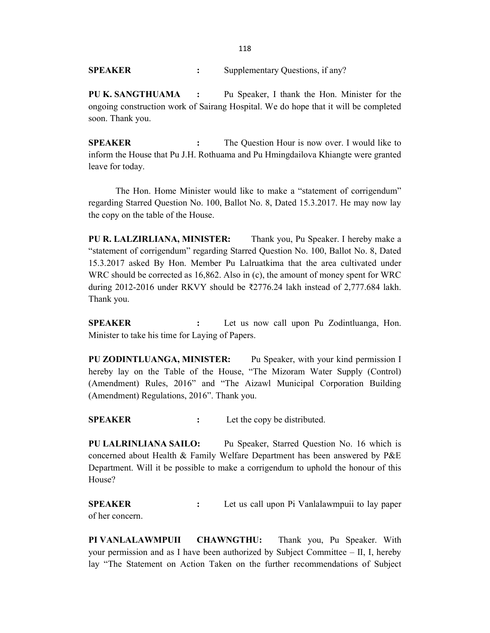SPEAKER : Supplementary Questions, if any?

PU K. SANGTHUAMA : Pu Speaker, I thank the Hon. Minister for the ongoing construction work of Sairang Hospital. We do hope that it will be completed soon. Thank you.

SPEAKER : The Question Hour is now over. I would like to inform the House that Pu J.H. Rothuama and Pu Hmingdailova Khiangte were granted leave for today.

 The Hon. Home Minister would like to make a "statement of corrigendum" regarding Starred Question No. 100, Ballot No. 8, Dated 15.3.2017. He may now lay the copy on the table of the House.

PU R. LALZIRLIANA, MINISTER: Thank you, Pu Speaker. I hereby make a "statement of corrigendum" regarding Starred Question No. 100, Ballot No. 8, Dated 15.3.2017 asked By Hon. Member Pu Lalruatkima that the area cultivated under WRC should be corrected as 16,862. Also in (c), the amount of money spent for WRC during 2012-2016 under RKVY should be ₹2776.24 lakh instead of 2,777.684 lakh. Thank you.

SPEAKER : Let us now call upon Pu Zodintluanga, Hon. Minister to take his time for Laying of Papers.

PU ZODINTLUANGA, MINISTER: Pu Speaker, with your kind permission I hereby lay on the Table of the House, "The Mizoram Water Supply (Control) (Amendment) Rules, 2016" and "The Aizawl Municipal Corporation Building (Amendment) Regulations, 2016". Thank you.

SPEAKER : Let the copy be distributed.

PU LALRINLIANA SAILO: Pu Speaker, Starred Question No. 16 which is concerned about Health & Family Welfare Department has been answered by P&E Department. Will it be possible to make a corrigendum to uphold the honour of this House?

SPEAKER : Let us call upon Pi Vanlalawmpuii to lay paper of her concern.

PI VANLALAWMPUII CHAWNGTHU: Thank you, Pu Speaker. With your permission and as I have been authorized by Subject Committee – II, I, hereby lay "The Statement on Action Taken on the further recommendations of Subject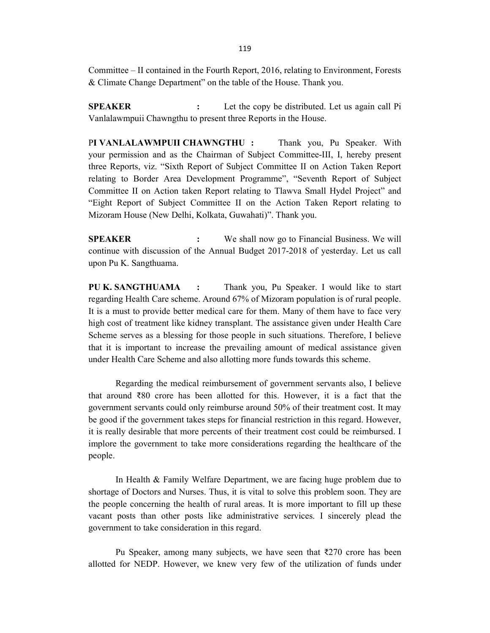Committee – II contained in the Fourth Report, 2016, relating to Environment, Forests & Climate Change Department" on the table of the House. Thank you.

**SPEAKER** : Let the copy be distributed. Let us again call Pi Vanlalawmpuii Chawngthu to present three Reports in the House.

PI VANLALAWMPUII CHAWNGTHU : Thank you, Pu Speaker. With your permission and as the Chairman of Subject Committee-III, I, hereby present three Reports, viz. "Sixth Report of Subject Committee II on Action Taken Report relating to Border Area Development Programme", "Seventh Report of Subject Committee II on Action taken Report relating to Tlawva Small Hydel Project" and "Eight Report of Subject Committee II on the Action Taken Report relating to Mizoram House (New Delhi, Kolkata, Guwahati)". Thank you.

**SPEAKER** : We shall now go to Financial Business. We will continue with discussion of the Annual Budget 2017-2018 of yesterday. Let us call upon Pu K. Sangthuama.

PU K. SANGTHUAMA : Thank you, Pu Speaker. I would like to start regarding Health Care scheme. Around 67% of Mizoram population is of rural people. It is a must to provide better medical care for them. Many of them have to face very high cost of treatment like kidney transplant. The assistance given under Health Care Scheme serves as a blessing for those people in such situations. Therefore, I believe that it is important to increase the prevailing amount of medical assistance given under Health Care Scheme and also allotting more funds towards this scheme.

 Regarding the medical reimbursement of government servants also, I believe that around ₹80 crore has been allotted for this. However, it is a fact that the government servants could only reimburse around 50% of their treatment cost. It may be good if the government takes steps for financial restriction in this regard. However, it is really desirable that more percents of their treatment cost could be reimbursed. I implore the government to take more considerations regarding the healthcare of the people.

 In Health & Family Welfare Department, we are facing huge problem due to shortage of Doctors and Nurses. Thus, it is vital to solve this problem soon. They are the people concerning the health of rural areas. It is more important to fill up these vacant posts than other posts like administrative services. I sincerely plead the government to take consideration in this regard.

 Pu Speaker, among many subjects, we have seen that ₹270 crore has been allotted for NEDP. However, we knew very few of the utilization of funds under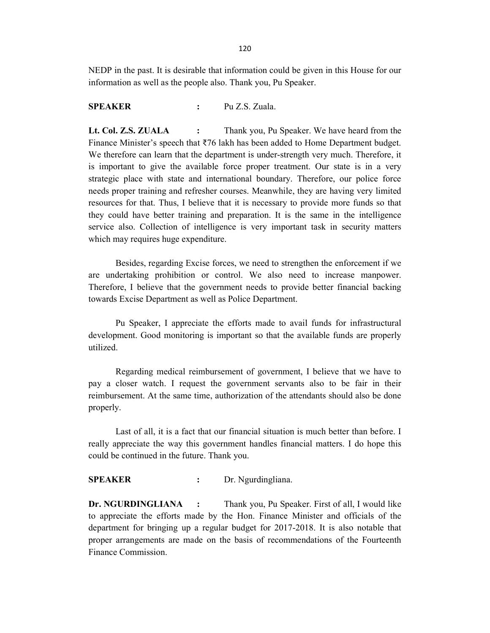NEDP in the past. It is desirable that information could be given in this House for our information as well as the people also. Thank you, Pu Speaker.

### SPEAKER : Pu Z.S. Zuala.

Lt. Col. Z.S. ZUALA : Thank you, Pu Speaker. We have heard from the Finance Minister's speech that ₹76 lakh has been added to Home Department budget. We therefore can learn that the department is under-strength very much. Therefore, it is important to give the available force proper treatment. Our state is in a very strategic place with state and international boundary. Therefore, our police force needs proper training and refresher courses. Meanwhile, they are having very limited resources for that. Thus, I believe that it is necessary to provide more funds so that they could have better training and preparation. It is the same in the intelligence service also. Collection of intelligence is very important task in security matters which may requires huge expenditure.

 Besides, regarding Excise forces, we need to strengthen the enforcement if we are undertaking prohibition or control. We also need to increase manpower. Therefore, I believe that the government needs to provide better financial backing towards Excise Department as well as Police Department.

 Pu Speaker, I appreciate the efforts made to avail funds for infrastructural development. Good monitoring is important so that the available funds are properly utilized.

 Regarding medical reimbursement of government, I believe that we have to pay a closer watch. I request the government servants also to be fair in their reimbursement. At the same time, authorization of the attendants should also be done properly.

 Last of all, it is a fact that our financial situation is much better than before. I really appreciate the way this government handles financial matters. I do hope this could be continued in the future. Thank you.

#### SPEAKER : Dr. Ngurdingliana.

**Dr. NGURDINGLIANA :** Thank you, Pu Speaker. First of all, I would like to appreciate the efforts made by the Hon. Finance Minister and officials of the department for bringing up a regular budget for 2017-2018. It is also notable that proper arrangements are made on the basis of recommendations of the Fourteenth Finance Commission.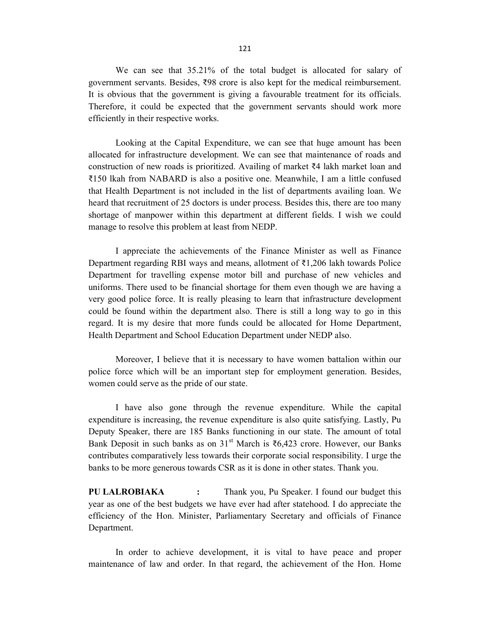We can see that 35.21% of the total budget is allocated for salary of government servants. Besides, ₹98 crore is also kept for the medical reimbursement. It is obvious that the government is giving a favourable treatment for its officials. Therefore, it could be expected that the government servants should work more efficiently in their respective works.

 Looking at the Capital Expenditure, we can see that huge amount has been allocated for infrastructure development. We can see that maintenance of roads and construction of new roads is prioritized. Availing of market ₹4 lakh market loan and ₹150 lkah from NABARD is also a positive one. Meanwhile, I am a little confused that Health Department is not included in the list of departments availing loan. We heard that recruitment of 25 doctors is under process. Besides this, there are too many shortage of manpower within this department at different fields. I wish we could manage to resolve this problem at least from NEDP.

 I appreciate the achievements of the Finance Minister as well as Finance Department regarding RBI ways and means, allotment of ₹1,206 lakh towards Police Department for travelling expense motor bill and purchase of new vehicles and uniforms. There used to be financial shortage for them even though we are having a very good police force. It is really pleasing to learn that infrastructure development could be found within the department also. There is still a long way to go in this regard. It is my desire that more funds could be allocated for Home Department, Health Department and School Education Department under NEDP also.

 Moreover, I believe that it is necessary to have women battalion within our police force which will be an important step for employment generation. Besides, women could serve as the pride of our state.

 I have also gone through the revenue expenditure. While the capital expenditure is increasing, the revenue expenditure is also quite satisfying. Lastly, Pu Deputy Speaker, there are 185 Banks functioning in our state. The amount of total Bank Deposit in such banks as on 31<sup>st</sup> March is ₹6,423 crore. However, our Banks contributes comparatively less towards their corporate social responsibility. I urge the banks to be more generous towards CSR as it is done in other states. Thank you.

PU LALROBIAKA : Thank you, Pu Speaker. I found our budget this year as one of the best budgets we have ever had after statehood. I do appreciate the efficiency of the Hon. Minister, Parliamentary Secretary and officials of Finance Department.

 In order to achieve development, it is vital to have peace and proper maintenance of law and order. In that regard, the achievement of the Hon. Home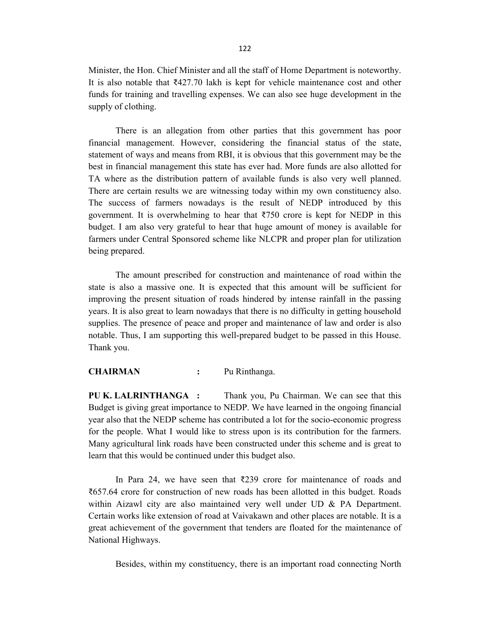Minister, the Hon. Chief Minister and all the staff of Home Department is noteworthy. It is also notable that ₹427.70 lakh is kept for vehicle maintenance cost and other funds for training and travelling expenses. We can also see huge development in the supply of clothing.

 There is an allegation from other parties that this government has poor financial management. However, considering the financial status of the state, statement of ways and means from RBI, it is obvious that this government may be the best in financial management this state has ever had. More funds are also allotted for TA where as the distribution pattern of available funds is also very well planned. There are certain results we are witnessing today within my own constituency also. The success of farmers nowadays is the result of NEDP introduced by this government. It is overwhelming to hear that  $\overline{3750}$  crore is kept for NEDP in this budget. I am also very grateful to hear that huge amount of money is available for farmers under Central Sponsored scheme like NLCPR and proper plan for utilization being prepared.

 The amount prescribed for construction and maintenance of road within the state is also a massive one. It is expected that this amount will be sufficient for improving the present situation of roads hindered by intense rainfall in the passing years. It is also great to learn nowadays that there is no difficulty in getting household supplies. The presence of peace and proper and maintenance of law and order is also notable. Thus, I am supporting this well-prepared budget to be passed in this House. Thank you.

#### CHAIRMAN : Pu Rinthanga.

PU K. LALRINTHANGA : Thank you, Pu Chairman. We can see that this Budget is giving great importance to NEDP. We have learned in the ongoing financial year also that the NEDP scheme has contributed a lot for the socio-economic progress for the people. What I would like to stress upon is its contribution for the farmers. Many agricultural link roads have been constructed under this scheme and is great to learn that this would be continued under this budget also.

 In Para 24, we have seen that ₹239 crore for maintenance of roads and ₹657.64 crore for construction of new roads has been allotted in this budget. Roads within Aizawl city are also maintained very well under UD & PA Department. Certain works like extension of road at Vaivakawn and other places are notable. It is a great achievement of the government that tenders are floated for the maintenance of National Highways.

Besides, within my constituency, there is an important road connecting North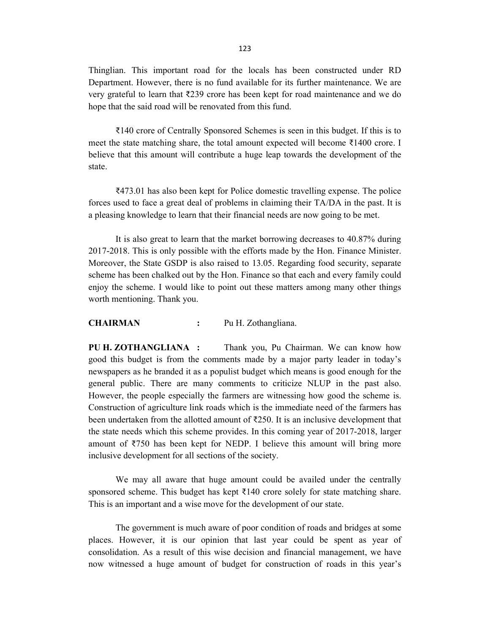Thinglian. This important road for the locals has been constructed under RD Department. However, there is no fund available for its further maintenance. We are very grateful to learn that ₹239 crore has been kept for road maintenance and we do hope that the said road will be renovated from this fund.

 ₹140 crore of Centrally Sponsored Schemes is seen in this budget. If this is to meet the state matching share, the total amount expected will become ₹1400 crore. I believe that this amount will contribute a huge leap towards the development of the state.

 ₹473.01 has also been kept for Police domestic travelling expense. The police forces used to face a great deal of problems in claiming their TA/DA in the past. It is a pleasing knowledge to learn that their financial needs are now going to be met.

 It is also great to learn that the market borrowing decreases to 40.87% during 2017-2018. This is only possible with the efforts made by the Hon. Finance Minister. Moreover, the State GSDP is also raised to 13.05. Regarding food security, separate scheme has been chalked out by the Hon. Finance so that each and every family could enjoy the scheme. I would like to point out these matters among many other things worth mentioning. Thank you.

#### CHAIRMAN : Pu H. Zothangliana.

PU H. ZOTHANGLIANA : Thank you, Pu Chairman. We can know how good this budget is from the comments made by a major party leader in today's newspapers as he branded it as a populist budget which means is good enough for the general public. There are many comments to criticize NLUP in the past also. However, the people especially the farmers are witnessing how good the scheme is. Construction of agriculture link roads which is the immediate need of the farmers has been undertaken from the allotted amount of ₹250. It is an inclusive development that the state needs which this scheme provides. In this coming year of 2017-2018, larger amount of ₹750 has been kept for NEDP. I believe this amount will bring more inclusive development for all sections of the society.

 We may all aware that huge amount could be availed under the centrally sponsored scheme. This budget has kept  $\bar{\tau}$ 140 crore solely for state matching share. This is an important and a wise move for the development of our state.

 The government is much aware of poor condition of roads and bridges at some places. However, it is our opinion that last year could be spent as year of consolidation. As a result of this wise decision and financial management, we have now witnessed a huge amount of budget for construction of roads in this year's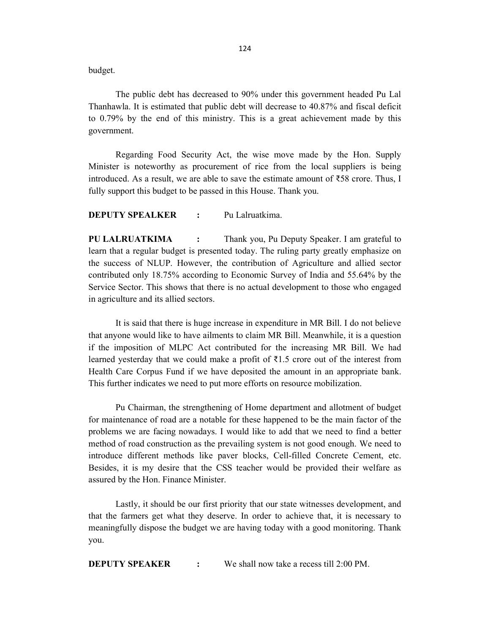budget.

 The public debt has decreased to 90% under this government headed Pu Lal Thanhawla. It is estimated that public debt will decrease to 40.87% and fiscal deficit to 0.79% by the end of this ministry. This is a great achievement made by this government.

 Regarding Food Security Act, the wise move made by the Hon. Supply Minister is noteworthy as procurement of rice from the local suppliers is being introduced. As a result, we are able to save the estimate amount of  $\overline{558}$  crore. Thus, I fully support this budget to be passed in this House. Thank you.

DEPUTY SPEALKER : Pu Lalruatkima.

PU LALRUATKIMA : Thank you, Pu Deputy Speaker. I am grateful to learn that a regular budget is presented today. The ruling party greatly emphasize on the success of NLUP. However, the contribution of Agriculture and allied sector contributed only 18.75% according to Economic Survey of India and 55.64% by the Service Sector. This shows that there is no actual development to those who engaged in agriculture and its allied sectors.

 It is said that there is huge increase in expenditure in MR Bill. I do not believe that anyone would like to have ailments to claim MR Bill. Meanwhile, it is a question if the imposition of MLPC Act contributed for the increasing MR Bill. We had learned yesterday that we could make a profit of  $\bar{\tau}$ 1.5 crore out of the interest from Health Care Corpus Fund if we have deposited the amount in an appropriate bank. This further indicates we need to put more efforts on resource mobilization.

 Pu Chairman, the strengthening of Home department and allotment of budget for maintenance of road are a notable for these happened to be the main factor of the problems we are facing nowadays. I would like to add that we need to find a better method of road construction as the prevailing system is not good enough. We need to introduce different methods like paver blocks, Cell-filled Concrete Cement, etc. Besides, it is my desire that the CSS teacher would be provided their welfare as assured by the Hon. Finance Minister.

 Lastly, it should be our first priority that our state witnesses development, and that the farmers get what they deserve. In order to achieve that, it is necessary to meaningfully dispose the budget we are having today with a good monitoring. Thank you.

**DEPUTY SPEAKER** : We shall now take a recess till 2:00 PM.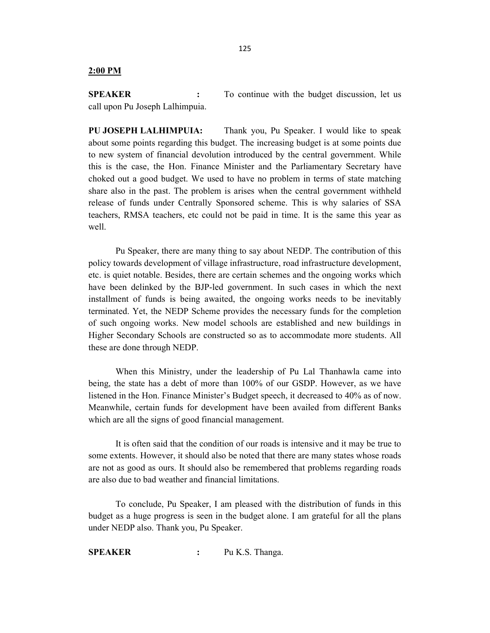#### 2:00 PM

**SPEAKER** : To continue with the budget discussion, let us call upon Pu Joseph Lalhimpuia.

PU JOSEPH LALHIMPUIA: Thank you, Pu Speaker. I would like to speak about some points regarding this budget. The increasing budget is at some points due to new system of financial devolution introduced by the central government. While this is the case, the Hon. Finance Minister and the Parliamentary Secretary have choked out a good budget. We used to have no problem in terms of state matching share also in the past. The problem is arises when the central government withheld release of funds under Centrally Sponsored scheme. This is why salaries of SSA teachers, RMSA teachers, etc could not be paid in time. It is the same this year as well.

 Pu Speaker, there are many thing to say about NEDP. The contribution of this policy towards development of village infrastructure, road infrastructure development, etc. is quiet notable. Besides, there are certain schemes and the ongoing works which have been delinked by the BJP-led government. In such cases in which the next installment of funds is being awaited, the ongoing works needs to be inevitably terminated. Yet, the NEDP Scheme provides the necessary funds for the completion of such ongoing works. New model schools are established and new buildings in Higher Secondary Schools are constructed so as to accommodate more students. All these are done through NEDP.

 When this Ministry, under the leadership of Pu Lal Thanhawla came into being, the state has a debt of more than 100% of our GSDP. However, as we have listened in the Hon. Finance Minister's Budget speech, it decreased to 40% as of now. Meanwhile, certain funds for development have been availed from different Banks which are all the signs of good financial management.

 It is often said that the condition of our roads is intensive and it may be true to some extents. However, it should also be noted that there are many states whose roads are not as good as ours. It should also be remembered that problems regarding roads are also due to bad weather and financial limitations.

 To conclude, Pu Speaker, I am pleased with the distribution of funds in this budget as a huge progress is seen in the budget alone. I am grateful for all the plans under NEDP also. Thank you, Pu Speaker.

SPEAKER : Pu K.S. Thanga.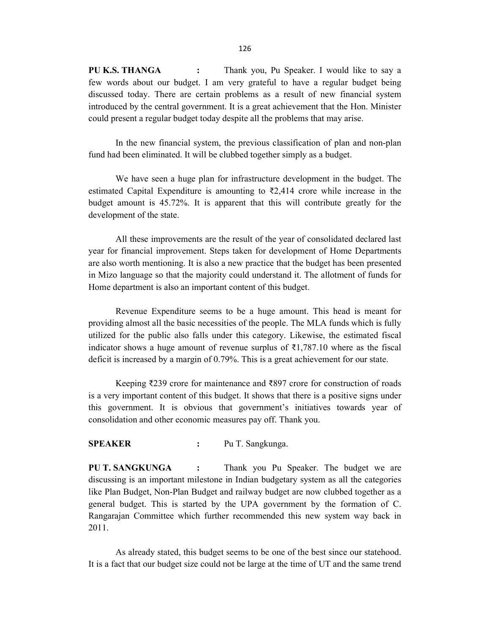PU K.S. THANGA : Thank you, Pu Speaker. I would like to say a few words about our budget. I am very grateful to have a regular budget being discussed today. There are certain problems as a result of new financial system introduced by the central government. It is a great achievement that the Hon. Minister could present a regular budget today despite all the problems that may arise.

 In the new financial system, the previous classification of plan and non-plan fund had been eliminated. It will be clubbed together simply as a budget.

 We have seen a huge plan for infrastructure development in the budget. The estimated Capital Expenditure is amounting to  $\overline{z}$ , 2,414 crore while increase in the budget amount is 45.72%. It is apparent that this will contribute greatly for the development of the state.

 All these improvements are the result of the year of consolidated declared last year for financial improvement. Steps taken for development of Home Departments are also worth mentioning. It is also a new practice that the budget has been presented in Mizo language so that the majority could understand it. The allotment of funds for Home department is also an important content of this budget.

 Revenue Expenditure seems to be a huge amount. This head is meant for providing almost all the basic necessities of the people. The MLA funds which is fully utilized for the public also falls under this category. Likewise, the estimated fiscal indicator shows a huge amount of revenue surplus of ₹1,787.10 where as the fiscal deficit is increased by a margin of 0.79%. This is a great achievement for our state.

 Keeping ₹239 crore for maintenance and ₹897 crore for construction of roads is a very important content of this budget. It shows that there is a positive signs under this government. It is obvious that government's initiatives towards year of consolidation and other economic measures pay off. Thank you.

### SPEAKER : Pu T. Sangkunga.

PU T. SANGKUNGA : Thank you Pu Speaker. The budget we are discussing is an important milestone in Indian budgetary system as all the categories like Plan Budget, Non-Plan Budget and railway budget are now clubbed together as a general budget. This is started by the UPA government by the formation of C. Rangarajan Committee which further recommended this new system way back in 2011.

 As already stated, this budget seems to be one of the best since our statehood. It is a fact that our budget size could not be large at the time of UT and the same trend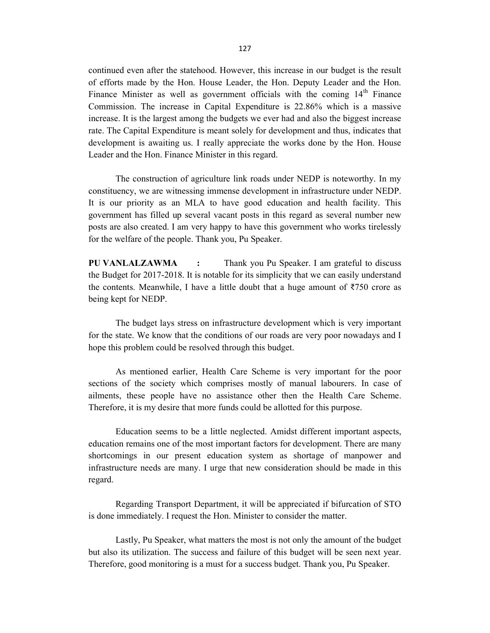continued even after the statehood. However, this increase in our budget is the result of efforts made by the Hon. House Leader, the Hon. Deputy Leader and the Hon. Finance Minister as well as government officials with the coming  $14<sup>th</sup>$  Finance Commission. The increase in Capital Expenditure is 22.86% which is a massive increase. It is the largest among the budgets we ever had and also the biggest increase rate. The Capital Expenditure is meant solely for development and thus, indicates that development is awaiting us. I really appreciate the works done by the Hon. House Leader and the Hon. Finance Minister in this regard.

 The construction of agriculture link roads under NEDP is noteworthy. In my constituency, we are witnessing immense development in infrastructure under NEDP. It is our priority as an MLA to have good education and health facility. This government has filled up several vacant posts in this regard as several number new posts are also created. I am very happy to have this government who works tirelessly for the welfare of the people. Thank you, Pu Speaker.

PU VANLALZAWMA : Thank you Pu Speaker. I am grateful to discuss the Budget for 2017-2018. It is notable for its simplicity that we can easily understand the contents. Meanwhile, I have a little doubt that a huge amount of  $\overline{5750}$  crore as being kept for NEDP.

 The budget lays stress on infrastructure development which is very important for the state. We know that the conditions of our roads are very poor nowadays and I hope this problem could be resolved through this budget.

 As mentioned earlier, Health Care Scheme is very important for the poor sections of the society which comprises mostly of manual labourers. In case of ailments, these people have no assistance other then the Health Care Scheme. Therefore, it is my desire that more funds could be allotted for this purpose.

 Education seems to be a little neglected. Amidst different important aspects, education remains one of the most important factors for development. There are many shortcomings in our present education system as shortage of manpower and infrastructure needs are many. I urge that new consideration should be made in this regard.

 Regarding Transport Department, it will be appreciated if bifurcation of STO is done immediately. I request the Hon. Minister to consider the matter.

 Lastly, Pu Speaker, what matters the most is not only the amount of the budget but also its utilization. The success and failure of this budget will be seen next year. Therefore, good monitoring is a must for a success budget. Thank you, Pu Speaker.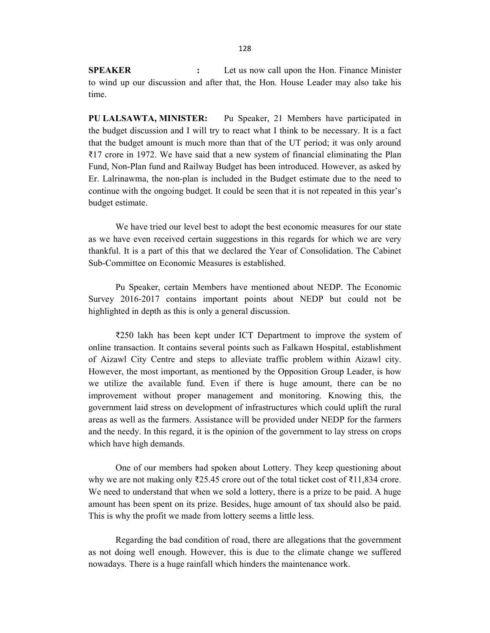SPEAKER : Let us now call upon the Hon. Finance Minister to wind up our discussion and after that, the Hon. House Leader may also take his time.

PU LALSAWTA, MINISTER: Pu Speaker, 21 Members have participated in the budget discussion and I will try to react what I think to be necessary. It is a fact that the budget amount is much more than that of the UT period; it was only around ₹17 crore in 1972. We have said that a new system of financial eliminating the Plan Fund, Non-Plan fund and Railway Budget has been introduced. However, as asked by Er. Lalrinawma, the non-plan is included in the Budget estimate due to the need to continue with the ongoing budget. It could be seen that it is not repeated in this year's budget estimate.

 We have tried our level best to adopt the best economic measures for our state as we have even received certain suggestions in this regards for which we are very thankful. It is a part of this that we declared the Year of Consolidation. The Cabinet Sub-Committee on Economic Measures is established.

 Pu Speaker, certain Members have mentioned about NEDP. The Economic Survey 2016-2017 contains important points about NEDP but could not be highlighted in depth as this is only a general discussion.

 ₹250 lakh has been kept under ICT Department to improve the system of online transaction. It contains several points such as Falkawn Hospital, establishment of Aizawl City Centre and steps to alleviate traffic problem within Aizawl city. However, the most important, as mentioned by the Opposition Group Leader, is how we utilize the available fund. Even if there is huge amount, there can be no improvement without proper management and monitoring. Knowing this, the government laid stress on development of infrastructures which could uplift the rural areas as well as the farmers. Assistance will be provided under NEDP for the farmers and the needy. In this regard, it is the opinion of the government to lay stress on crops which have high demands.

 One of our members had spoken about Lottery. They keep questioning about why we are not making only  $\overline{2}25.45$  crore out of the total ticket cost of  $\overline{2}11,834$  crore. We need to understand that when we sold a lottery, there is a prize to be paid. A huge amount has been spent on its prize. Besides, huge amount of tax should also be paid. This is why the profit we made from lottery seems a little less.

 Regarding the bad condition of road, there are allegations that the government as not doing well enough. However, this is due to the climate change we suffered nowadays. There is a huge rainfall which hinders the maintenance work.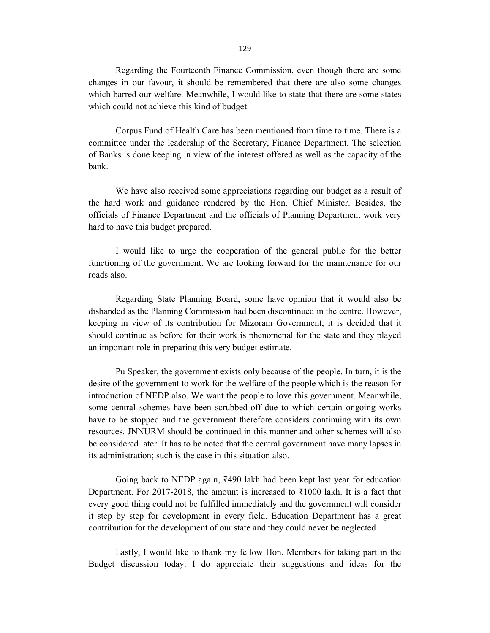Regarding the Fourteenth Finance Commission, even though there are some changes in our favour, it should be remembered that there are also some changes which barred our welfare. Meanwhile, I would like to state that there are some states which could not achieve this kind of budget.

 Corpus Fund of Health Care has been mentioned from time to time. There is a committee under the leadership of the Secretary, Finance Department. The selection of Banks is done keeping in view of the interest offered as well as the capacity of the bank.

 We have also received some appreciations regarding our budget as a result of the hard work and guidance rendered by the Hon. Chief Minister. Besides, the officials of Finance Department and the officials of Planning Department work very hard to have this budget prepared.

 I would like to urge the cooperation of the general public for the better functioning of the government. We are looking forward for the maintenance for our roads also.

 Regarding State Planning Board, some have opinion that it would also be disbanded as the Planning Commission had been discontinued in the centre. However, keeping in view of its contribution for Mizoram Government, it is decided that it should continue as before for their work is phenomenal for the state and they played an important role in preparing this very budget estimate.

 Pu Speaker, the government exists only because of the people. In turn, it is the desire of the government to work for the welfare of the people which is the reason for introduction of NEDP also. We want the people to love this government. Meanwhile, some central schemes have been scrubbed-off due to which certain ongoing works have to be stopped and the government therefore considers continuing with its own resources. JNNURM should be continued in this manner and other schemes will also be considered later. It has to be noted that the central government have many lapses in its administration; such is the case in this situation also.

 Going back to NEDP again, ₹490 lakh had been kept last year for education Department. For 2017-2018, the amount is increased to  $\overline{\xi}1000$  lakh. It is a fact that every good thing could not be fulfilled immediately and the government will consider it step by step for development in every field. Education Department has a great contribution for the development of our state and they could never be neglected.

 Lastly, I would like to thank my fellow Hon. Members for taking part in the Budget discussion today. I do appreciate their suggestions and ideas for the